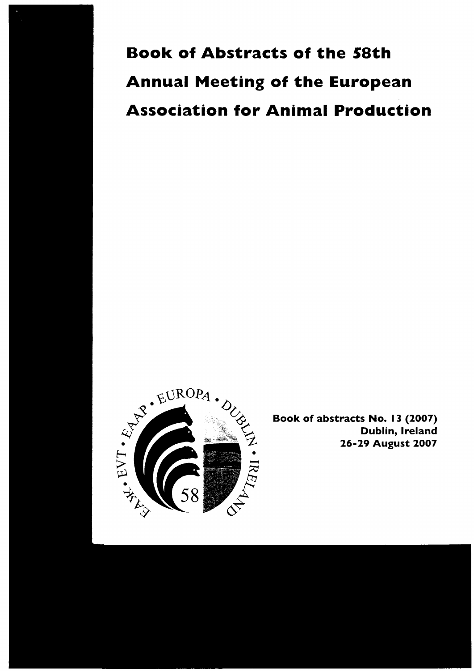**Book of Abstracts of the 58th Annual Meeting of the European Association for Animal Production** 



Book of abstracts No. 13 (2007) Dublin, Ireland 26-29 August 2007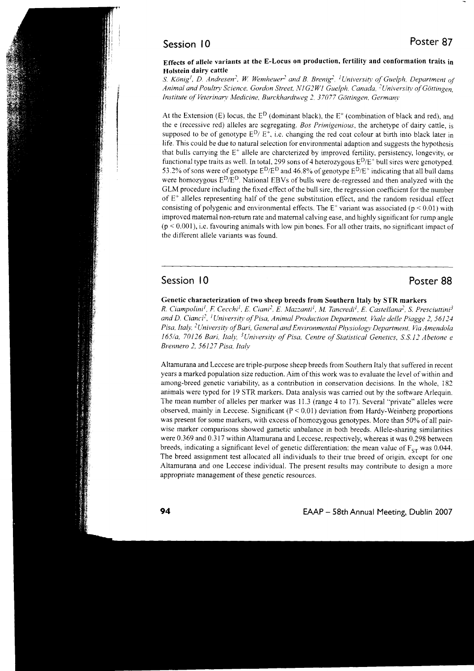# Session l0

#### Effects of allele variants at the E-Locus on production, fertility and conformation traits inHolstein dairy cattle

S. König<sup>1</sup>, D. Andresen<sup>2</sup>, W. Wemheuer<sup>2</sup> and B. Brenig<sup>2</sup>, <sup>1</sup>University of Guelph, Department of Animal and Poultry Science, Gordon Street, N1G2W1 Guelph, Canada, <sup>2</sup>University of Göttingen, Institute of Veterinary Medicine. Burckhardtweg 2. 37077 Göttingen. Germany

At the Extension (E) locus, the  $E^D$  (dominant black), the  $E^+$  (combination of black and red), and the e (recessive red) alleles are segregating. Bos Primigenious, the archetype of dairy cattle, is supposed to be of genotype  $E^D/E^+$ , i.e. changing the red coat colour at birth into black later in life. This could be due to natural selection for environmental adaption and suggests the hypothesis that bulls carrying the  $E^+$  allele are charcterized by improved fertility, persistency, longevity, or functional type traits as well. In total, 299 sons of 4 heterozygous  $E<sup>D</sup>/E<sup>+</sup>$  bull sires were genotyped. 53.2% of sons were of genotype  $E^D/E^D$  and 46.8% of genotype  $E^D/E^+$  indicating that all bull dams were homozygous E<sup>D</sup>/E<sup>D</sup>. National EBVs of bulls were de-regressed and then analyzed with the GLM procedure including the fixed effect of the bull sire, the regression coefficient for the number of  $E^+$  alleles representing half of the gene substitution effect, and the random residual effect consisting of polygenic and environmental effects. The  $E^+$  variant was associated ( $p \le 0.01$ ) with improved maternal non-return rate and maternal calving ease, and highly significant for rump angle  $(p < 0.001)$ , i.e. favouring animals with low pin bones. For all other traits, no significant impact of the different allele variants was found.

# Session 10 and 20 and 20 and 20 and 20 and 20 and 20 and 20 and 20 and 20 and 20 and 20 and 20 and 20 and 20 and 20 and 20 and 20 and 20 and 20 and 20 and 20 and 20 and 20 and 20 and 20 and 20 and 20 and 20 and 20 and 20 a

### Genetic characterization of two sheep breeds from Southern Italy by STR markers

R. Ciampolini<sup>1</sup>, F. Cecchi<sup>1</sup>, E. Ciani<sup>2</sup>, E. Mazzanti<sup>1</sup>, M. Tancredi<sup>1</sup>, E. Castellana<sup>2</sup>, S. Presciuttini<sup>3</sup> and D. Cianci<sup>2</sup>, <sup>1</sup>University of Pisa, Animal Production Department, Viale delle Piagge 2, 56124 Pisa, Italy, <sup>2</sup>University of Bari, General and Environmental Physiology Department, Via Amendola 165/a, 70126 Bari, Italy, <sup>3</sup>University of Pisa. Centre of Statistical Genetics, S.S.12 Abetone e Brennero 2, 56127 Pisa, Italv

Altamurana and Leccese are triple-purpose sheep breeds from Southem Italy that suffered in recent years a marked population size reduction. Aim of this work was to evaluate the level of within and among-breed genetic variability, as a contribution in conservation decisions. In the whole, 182 animals were typed for 19 STR markers. Data analysis was carried out by the software Arlequin. The mean number of alleles per marker was ll.3 (range 4 to l7). Several "private" alleles were observed, mainly in Leccese. Significant  $(P < 0.01)$  deviation from Hardy-Weinberg proportions was present for some markers, with excess of homozygous genotypes. More than 50% of all pairwise marker comparisons showed gametic unbalance in both breeds. Allele-sharing similarities were 0.369 and 0.317 within Altamurana and Leccese, respectively, whereas it was 0.298 befween breeds, indicating a significant level of genetic differentiation; the mean value of  $F_{ST}$  was 0.044. The breed assignment test allocated all individuals to their true breed of origin, except for one Altamurana and one Leccese individual. The present results may contribute to design a more appropriate management of these genetic resources.

94 **EAAP** - 58th Annual Meeting, Dublin 2007